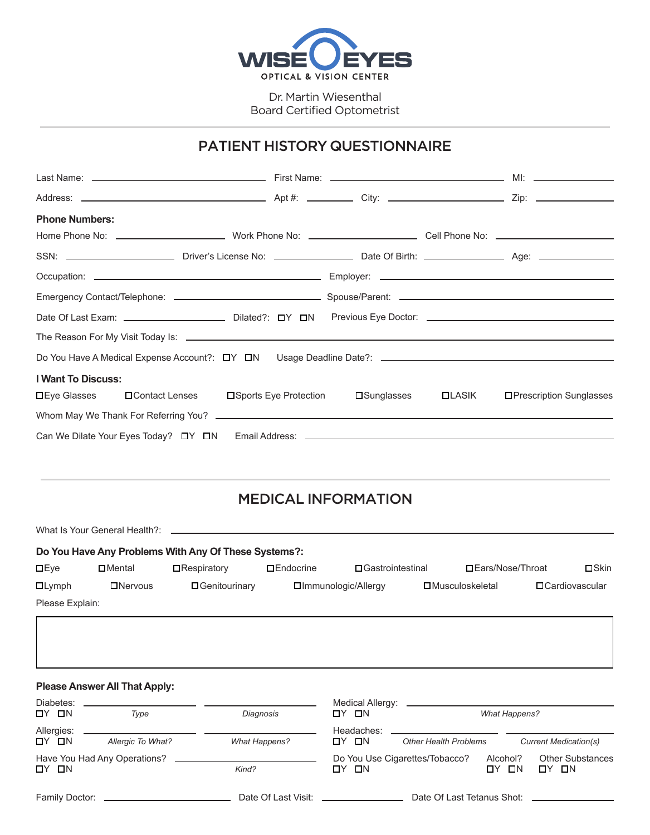

Dr. Martin Wiesenthal Board Certified Optometrist

### PATIENT HISTORY QUESTIONNAIRE

| <b>Phone Numbers:</b>                                                                                          |                                                 |             |          |                          |
|----------------------------------------------------------------------------------------------------------------|-------------------------------------------------|-------------|----------|--------------------------|
|                                                                                                                |                                                 |             |          |                          |
|                                                                                                                |                                                 |             |          |                          |
|                                                                                                                |                                                 |             |          |                          |
|                                                                                                                |                                                 |             |          |                          |
| Date Of Last Exam: __________________________Dilated?: [Or Servicus Eye Doctor: ______________________________ |                                                 |             |          |                          |
|                                                                                                                |                                                 |             |          |                          |
|                                                                                                                |                                                 |             |          |                          |
| <b>I Want To Discuss:</b>                                                                                      |                                                 |             |          |                          |
| <b>□Eye Glasses</b>                                                                                            | <b>□ Contact Lenses</b> □ Sports Eye Protection | □Sunglasses | $LLASIK$ | □Prescription Sunglasses |
|                                                                                                                |                                                 |             |          |                          |
|                                                                                                                |                                                 |             |          |                          |
|                                                                                                                |                                                 |             |          |                          |
|                                                                                                                |                                                 |             |          |                          |

# MEDICAL INFORMATION

What Is Your General Health?: **Do You Have Any Problems With Any Of These Systems?: DEye** Lymph Nervous Genitourinary Immunologic/Allergy Musculoskeletal Cardiovascular Mental Respiratory Endocrine Gastrointestinal Ears/Nose/Throat Skin

Please Explain:

#### **Please Answer All That Apply:**

| Diabetes:           |                   |                                 |                     | Medical Allergy: _________________________ |                        |                                      |
|---------------------|-------------------|---------------------------------|---------------------|--------------------------------------------|------------------------|--------------------------------------|
| OY ON               | Type              | Diagnosis                       | OY ON               |                                            | <b>What Happens?</b>   |                                      |
| Allergies:<br>OY ON | Allergic To What? | <b>What Happens?</b>            | Headaches:<br>OY ON | <b>Other Health Problems</b>               |                        | <b>Current Medication(s)</b>         |
| OY ON               |                   | Kind?                           | OY ON               | Do You Use Cigarettes/Tobacco?             | Alcohol?<br>- ON<br>ПY | <b>Other Substances</b><br>$DY$ $IN$ |
| Family Doctor:      |                   | Date Of Last Visit: ___________ |                     | Date Of Last Tetanus Shot: ________        |                        |                                      |